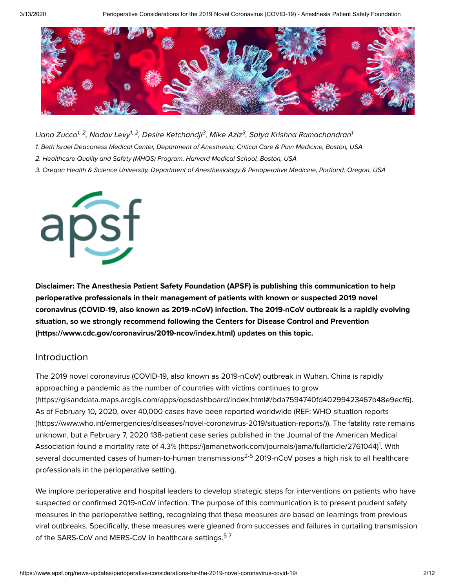

Liana Zucco<sup>1, 2</sup>, Nadav Levy<sup>1, 2</sup>, Desire Ketchandji<sup>3</sup>, Mike Aziz<sup>3</sup>, Satya Krishna Ramachandran<sup>1</sup> 1. Beth Israel Deaconess Medical Center, Department of Anesthesia, Critical Care & Pain Medicine, Boston, USA

- 2. Healthcare Quality and Safety (MHQS) Program, Harvard Medical School, Boston, USA
- 3. Oregon Health & Science University, Department of Anesthesiology & Perioperative Medicine, Portland, Oregon, USA



**Disclaimer: The Anesthesia Patient Safety Foundation (APSF) is publishing this communication to help perioperative professionals in their management of patients with known or suspected 2019 novel coronavirus (COVID-19, also known as 2019-nCoV) infection. The 2019-nCoV outbreak is a rapidly evolving situation, so we strongly recommend following the Centers for Disease Control and Prevention [\(https://www.cdc.gov/coronavirus/2019-ncov/index.html\)](https://www.cdc.gov/coronavirus/2019-ncov/index.html) updates on this topic.**

## Introduction

The 2019 novel coronavirus (COVID-19, also known as 2019-nCoV) outbreak in Wuhan, China is rapidly approaching a pandemic as the number of countries with victims continues to grow [\(https://gisanddata.maps.arcgis.com/apps/opsdashboard/index.html#/bda7594740fd40299423467b48e9ecf6\).](https://gisanddata.maps.arcgis.com/apps/opsdashboard/index.html#/bda7594740fd40299423467b48e9ecf6) As of February 10, 2020, over 40,000 cases have been reported worldwide (REF: WHO situation reports [\(https://www.who.int/emergencies/diseases/novel-coronavirus-2019/situation-reports/\)\).](https://www.who.int/emergencies/diseases/novel-coronavirus-2019/situation-reports/) The fatality rate remains unknown, but a February 7, 2020 138-patient case series published in the Journal of the American Medical Association found a mortality rate of 4.3% [\(https://jamanetwork.com/journals/jama/fullarticle/2761044\)](https://jamanetwork.com/journals/jama/fullarticle/2761044)<sup>1</sup>. With several documented cases of human-to-human transmissions<sup>2-5</sup> 2019-nCoV poses a high risk to all healthcare professionals in the perioperative setting.

We implore perioperative and hospital leaders to develop strategic steps for interventions on patients who have suspected or confirmed 2019-nCoV infection. The purpose of this communication is to present prudent safety measures in the perioperative setting, recognizing that these measures are based on learnings from previous viral outbreaks. Specifically, these measures were gleaned from successes and failures in curtailing transmission of the SARS-CoV and MERS-CoV in healthcare settings.<sup>5-7</sup>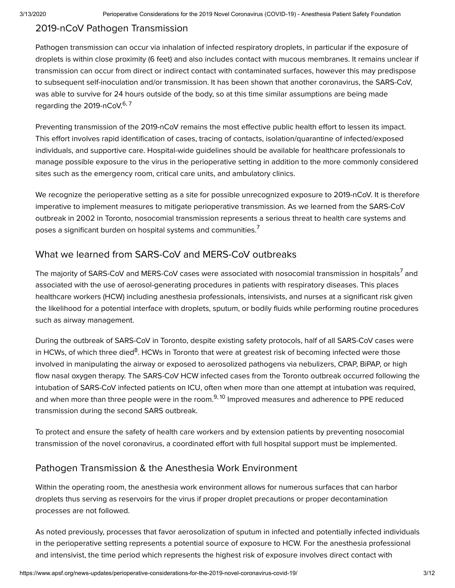## 2019-nCoV Pathogen Transmission

Pathogen transmission can occur via inhalation of infected respiratory droplets, in particular if the exposure of droplets is within close proximity (6 feet) and also includes contact with mucous membranes. It remains unclear if transmission can occur from direct or indirect contact with contaminated surfaces, however this may predispose to subsequent self-inoculation and/or transmission. It has been shown that another coronavirus, the SARS-CoV, was able to survive for 24 hours outside of the body, so at this time similar assumptions are being made regarding the 2019-nCoV.<sup>6, 7</sup>

Preventing transmission of the 2019-nCoV remains the most effective public health effort to lessen its impact. This effort involves rapid identification of cases, tracing of contacts, isolation/quarantine of infected/exposed individuals, and supportive care. Hospital-wide guidelines should be available for healthcare professionals to manage possible exposure to the virus in the perioperative setting in addition to the more commonly considered sites such as the emergency room, critical care units, and ambulatory clinics.

We recognize the perioperative setting as a site for possible unrecognized exposure to 2019-nCoV. It is therefore imperative to implement measures to mitigate perioperative transmission. As we learned from the SARS-CoV outbreak in 2002 in Toronto, nosocomial transmission represents a serious threat to health care systems and poses a significant burden on hospital systems and communities. $^7$ 

## What we learned from SARS-CoV and MERS-CoV outbreaks

The majority of SARS-CoV and MERS-CoV cases were associated with nosocomial transmission in hospitals<sup>7</sup> and associated with the use of aerosol-generating procedures in patients with respiratory diseases. This places healthcare workers (HCW) including anesthesia professionals, intensivists, and nurses at a significant risk given the likelihood for a potential interface with droplets, sputum, or bodily fluids while performing routine procedures such as airway management.

During the outbreak of SARS-CoV in Toronto, despite existing safety protocols, half of all SARS-CoV cases were in HCWs, of which three died<sup>8</sup>. HCWs in Toronto that were at greatest risk of becoming infected were those involved in manipulating the airway or exposed to aerosolized pathogens via nebulizers, CPAP, BiPAP, or high flow nasal oxygen therapy. The SARS-CoV HCW infected cases from the Toronto outbreak occurred following the intubation of SARS-CoV infected patients on ICU, often when more than one attempt at intubation was required, and when more than three people were in the room.<sup>9, 10</sup> Improved measures and adherence to PPE reduced transmission during the second SARS outbreak.

To protect and ensure the safety of health care workers and by extension patients by preventing nosocomial transmission of the novel coronavirus, a coordinated effort with full hospital support must be implemented.

## Pathogen Transmission & the Anesthesia Work Environment

Within the operating room, the anesthesia work environment allows for numerous surfaces that can harbor droplets thus serving as reservoirs for the virus if proper droplet precautions or proper decontamination processes are not followed.

As noted previously, processes that favor aerosolization of sputum in infected and potentially infected individuals in the perioperative setting represents a potential source of exposure to HCW. For the anesthesia professional and intensivist, the time period which represents the highest risk of exposure involves direct contact with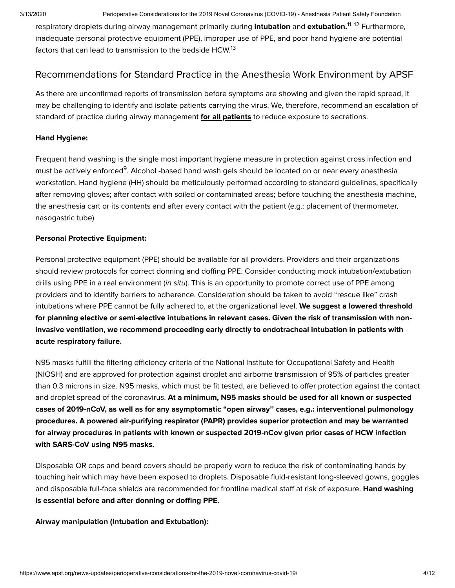respiratory droplets during airway management primarily during **intubation** and **extubation.<sup>11, 12</sup> F**urthermore, inadequate personal protective equipment (PPE), improper use of PPE, and poor hand hygiene are potential factors that can lead to transmission to the bedside HCW.<sup>13</sup>

## Recommendations for Standard Practice in the Anesthesia Work Environment by APSF

As there are unconfirmed reports of transmission before symptoms are showing and given the rapid spread, it may be challenging to identify and isolate patients carrying the virus. We, therefore, recommend an escalation of standard of practice during airway management **for all patients** to reduce exposure to secretions.

## **Hand Hygiene:**

Frequent hand washing is the single most important hygiene measure in protection against cross infection and must be actively enforced<sup>9</sup>. Alcohol -based hand wash gels should be located on or near every anesthesia workstation. Hand hygiene (HH) should be meticulously performed according to standard guidelines, specifically after removing gloves; after contact with soiled or contaminated areas; before touching the anesthesia machine, the anesthesia cart or its contents and after every contact with the patient (e.g.: placement of thermometer, nasogastric tube)

## **Personal Protective Equipment:**

Personal protective equipment (PPE) should be available for all providers. Providers and their organizations should review protocols for correct donning and doffing PPE. Consider conducting mock intubation/extubation drills using PPE in a real environment (in situ). This is an opportunity to promote correct use of PPE among providers and to identify barriers to adherence. Consideration should be taken to avoid "rescue like" crash intubations where PPE cannot be fully adhered to, at the organizational level. **We suggest a lowered threshold for planning elective or semi-elective intubations in relevant cases. Given the risk of transmission with noninvasive ventilation, we recommend proceeding early directly to endotracheal intubation in patients with acute respiratory failure.**

N95 masks fulfill the filtering efficiency criteria of the National Institute for Occupational Safety and Health (NIOSH) and are approved for protection against droplet and airborne transmission of 95% of particles greater than 0.3 microns in size. N95 masks, which must be fit tested, are believed to offer protection against the contact and droplet spread of the coronavirus. **At a minimum, N95 masks should be used for all known or suspected cases of 2019-nCoV, as well as for any asymptomatic "open airway'' cases, e.g.: interventional pulmonology procedures. A powered air-purifying respirator (PAPR) provides superior protection and may be warranted for airway procedures in patients with known or suspected 2019-nCov given prior cases of HCW infection with SARS-CoV using N95 masks.**

Disposable OR caps and beard covers should be properly worn to reduce the risk of contaminating hands by touching hair which may have been exposed to droplets. Disposable fluid-resistant long-sleeved gowns, goggles and disposable full-face shields are recommended for frontline medical staff at risk of exposure. **Hand washing is essential before and after donning or doffing PPE.**

#### **Airway manipulation (Intubation and Extubation):**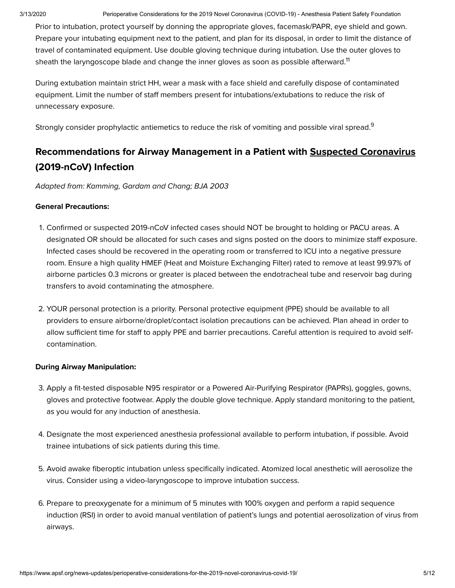Prior to intubation, protect yourself by donning the appropriate gloves, facemask/PAPR, eye shield and gown. Prepare your intubating equipment next to the patient, and plan for its disposal, in order to limit the distance of travel of contaminated equipment. Use double gloving technique during intubation. Use the outer gloves to sheath the laryngoscope blade and change the inner gloves as soon as possible afterward. $^{\rm 11}$ 

During extubation maintain strict HH, wear a mask with a face shield and carefully dispose of contaminated equipment. Limit the number of staff members present for intubations/extubations to reduce the risk of unnecessary exposure.

Strongly consider prophylactic antiemetics to reduce the risk of vomiting and possible viral spread. $^9$ 

## **Recommendations for Airway Management in a Patient with Suspected Coronavirus (2019-nCoV) Infection**

Adapted from: Kamming, Gardam and Chang; BJA 2003

## **General Precautions:**

- . Confirmed or suspected 2019-nCoV infected cases should NOT be brought to holding or PACU areas. A designated OR should be allocated for such cases and signs posted on the doors to minimize staff exposure. Infected cases should be recovered in the operating room or transferred to ICU into a negative pressure room. Ensure a high quality HMEF (Heat and Moisture Exchanging Filter) rated to remove at least 99.97% of airborne particles 0.3 microns or greater is placed between the endotracheal tube and reservoir bag during transfers to avoid contaminating the atmosphere.
- . YOUR personal protection is a priority. Personal protective equipment (PPE) should be available to all providers to ensure airborne/droplet/contact isolation precautions can be achieved. Plan ahead in order to allow sufficient time for staff to apply PPE and barrier precautions. Careful attention is required to avoid selfcontamination.

#### **During Airway Manipulation:**

- . Apply a fit-tested disposable N95 respirator or a Powered Air-Purifying Respirator (PAPRs), goggles, gowns, gloves and protective footwear. Apply the double glove technique. Apply standard monitoring to the patient, as you would for any induction of anesthesia.
- . Designate the most experienced anesthesia professional available to perform intubation, if possible. Avoid trainee intubations of sick patients during this time.
- . Avoid awake fiberoptic intubation unless specifically indicated. Atomized local anesthetic will aerosolize the virus. Consider using a video-laryngoscope to improve intubation success.
- . Prepare to preoxygenate for a minimum of 5 minutes with 100% oxygen and perform a rapid sequence induction (RSI) in order to avoid manual ventilation of patient's lungs and potential aerosolization of virus from airways.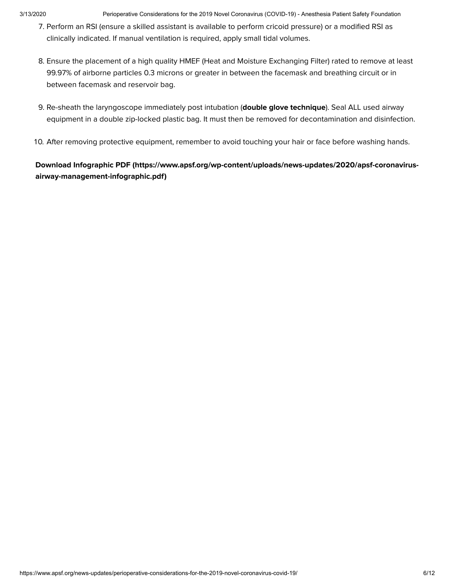- . Perform an RSI (ensure a skilled assistant is available to perform cricoid pressure) or a modified RSI as clinically indicated. If manual ventilation is required, apply small tidal volumes.
- . Ensure the placement of a high quality HMEF (Heat and Moisture Exchanging Filter) rated to remove at least 99.97% of airborne particles 0.3 microns or greater in between the facemask and breathing circuit or in between facemask and reservoir bag.
- . Re-sheath the laryngoscope immediately post intubation (**double glove technique**). Seal ALL used airway equipment in a double zip-locked plastic bag. It must then be removed for decontamination and disinfection.
- 10. After removing protective equipment, remember to avoid touching your hair or face before washing hands.

**Download Infographic PDF [\(https://www.apsf.org/wp-content/uploads/news-updates/2020/apsf-coronavirus](https://www.apsf.org/wp-content/uploads/news-updates/2020/apsf-coronavirus-airway-management-infographic.pdf)airway-management-infographic.pdf)**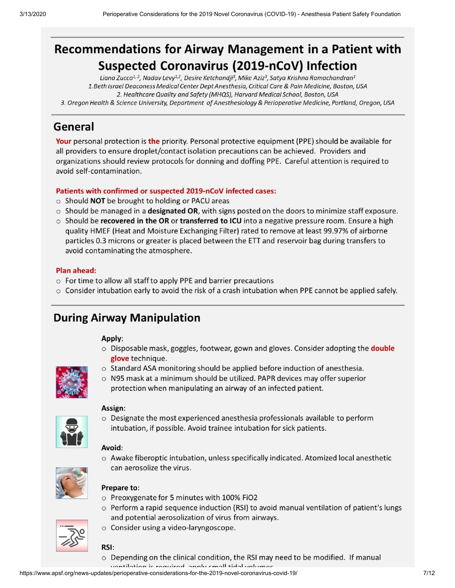# Recommendations for Airway Management in a Patient with **Suspected Coronavirus (2019-nCoV) Infection**

Liana Zucco<sup>1, 2</sup>, Nadav Levy<sup>1,2</sup>, Desire Ketchandji<sup>3</sup>, Mike Aziz<sup>3</sup>, Satya Krishna Ramachandran<sup>1</sup> 1.Beth Israel Deaconess Medical Center Dept Anesthesia, Critical Care & Pain Medicine, Boston, USA 2. Healthcare Quality and Safety (MHQS), Harvard Medical School, Boston, USA 3. Oregon Health & Science University, Department of Anesthesiology & Perioperative Medicine, Portland, Oregon, USA

## General

Your personal protection is the priority. Personal protective equipment (PPE) should be available for all providers to ensure droplet/contact isolation precautions can be achieved. Providers and organizations should review protocols for donning and doffing PPE. Careful attention is required to avoid self-contamination.

## Patients with confirmed or suspected 2019-nCoV infected cases:

- $\circ$  Should NOT be brought to holding or PACU areas
- $\circ$  Should be managed in a **designated OR**, with signs posted on the doors to minimize staff exposure.
- o Should be recovered in the OR or transferred to ICU into a negative pressure room. Ensure a high quality HMEF (Heat and Moisture Exchanging Filter) rated to remove at least 99.97% of airborne particles 0.3 microns or greater is placed between the ETT and reservoir bag during transfers to avoid contaminating the atmosphere.

## **Plan ahead:**

- $\circ$  For time to allow all staff to apply PPE and barrier precautions
- $\circ$  Consider intubation early to avoid the risk of a crash intubation when PPE cannot be applied safely.

## **During Airway Manipulation**

#### Apply:

- $\circ$  Disposable mask, goggles, footwear, gown and gloves. Consider adopting the **double** glove technique.
- $\circ$  Standard ASA monitoring should be applied before induction of anesthesia.



 $\circ$  N95 mask at a minimum should be utilized. PAPR devices may offer superior protection when manipulating an airway of an infected patient.

#### Assign:



o Designate the most experienced anesthesia professionals available to perform intubation, if possible. Avoid trainee intubation for sick patients.

## Avoid:

o Awake fiberoptic intubation, unless specifically indicated. Atomized local anesthetic can aerosolize the virus.



## Prepare to:

- o Preoxygenate for 5 minutes with 100% FiO2
- $\circ$  Perform a rapid sequence induction (RSI) to avoid manual ventilation of patient's lungs and potential aerosolization of virus from airways.
- o Consider using a video-laryngoscope.



- RSI:
- o Depending on the clinical condition, the RSI may need to be modified. If manual

ventilation is required annly small tidal volumes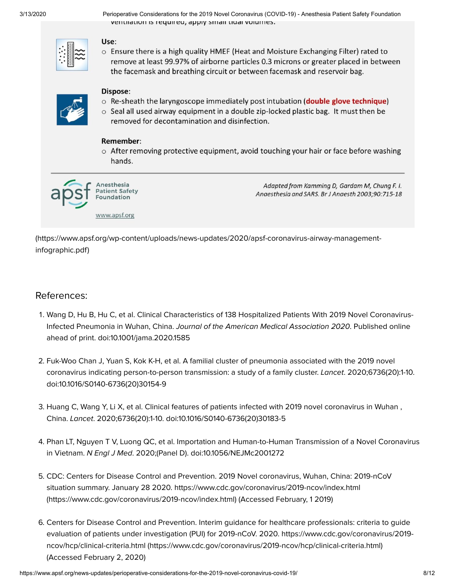3/13/2020 Perioperative Considerations for the 2019 Novel Coronavirus (COVID-19) - Anesthesia Patient Safety Foundation ventilation is required, apply sinal tidal volumes.

 $\circ$  Ensure there is a high quality HMEF (Heat and Moisture Exchanging Filter) rated to remove at least 99.97% of airborne particles 0.3 microns or greater placed in between the facemask and breathing circuit or between facemask and reservoir bag.

## Dispose:

Use:

- o Re-sheath the laryngoscope immediately post intubation (double glove technique)
- $\circ$  Seal all used airway equipment in a double zip-locked plastic bag. It must then be removed for decontamination and disinfection.

## Remember:

 $\circ$  After removing protective equipment, avoid touching your hair or face before washing hands.



Adapted from Kamming D, Gardam M, Chung F. I. Anaesthesia and SARS. Br J Anaesth 2003;90:715-18

[\(https://www.apsf.org/wp-content/uploads/news-updates/2020/apsf-coronavirus-airway-management](https://www.apsf.org/wp-content/uploads/news-updates/2020/apsf-coronavirus-airway-management-infographic.pdf)infographic.pdf)

## References:

- . Wang D, Hu B, Hu C, et al. Clinical Characteristics of 138 Hospitalized Patients With 2019 Novel Coronavirus-Infected Pneumonia in Wuhan, China. Journal of the American Medical Association 2020. Published online ahead of print. doi:10.1001/jama.2020.1585
- . Fuk-Woo Chan J, Yuan S, Kok K-H, et al. A familial cluster of pneumonia associated with the 2019 novel coronavirus indicating person-to-person transmission: a study of a family cluster. Lancet. 2020;6736(20):1-10. doi:10.1016/S0140-6736(20)30154-9
- . Huang C, Wang Y, Li X, et al. Clinical features of patients infected with 2019 novel coronavirus in Wuhan , China. Lancet. 2020;6736(20):1-10. doi:10.1016/S0140-6736(20)30183-5
- . Phan LT, Nguyen T V, Luong QC, et al. Importation and Human-to-Human Transmission of a Novel Coronavirus in Vietnam. N Engl J Med. 2020;(Panel D). doi:10.1056/NEJMc2001272
- . CDC: Centers for Disease Control and Prevention. 2019 Novel coronavirus, Wuhan, China: 2019-nCoV situation summary. January 28 2020. https://www.cdc.gov/coronavirus/2019-ncov/index.html [\(https://www.cdc.gov/coronavirus/2019-ncov/index.html\)](https://www.cdc.gov/coronavirus/2019-ncov/index.html) (Accessed February, 1 2019)
- . Centers for Disease Control and Prevention. Interim guidance for healthcare professionals: criteria to guide evaluation of patients under investigation (PUI) for 2019-nCoV. 2020. https://www.cdc.gov/coronavirus/2019 ncov/hcp/clinical-criteria.html [\(https://www.cdc.gov/coronavirus/2019-ncov/hcp/clinical-criteria.html\)](https://www.cdc.gov/coronavirus/2019-ncov/hcp/clinical-criteria.html) (Accessed February 2, 2020)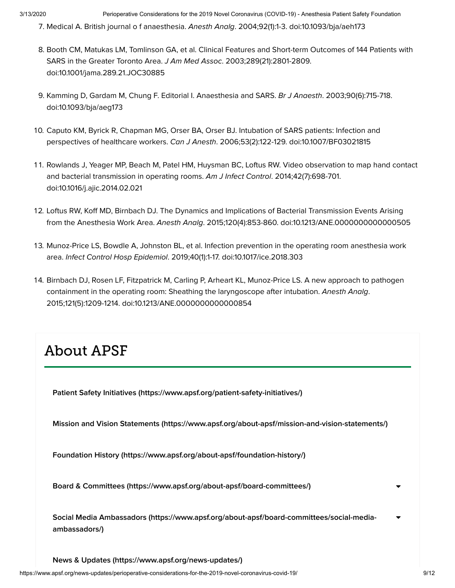- 7. Medical A. British journal o f anaesthesia. Anesth Analg. 2004;92(1):1-3. doi:10.1093/bja/aeh173
- . Booth CM, Matukas LM, Tomlinson GA, et al. Clinical Features and Short-term Outcomes of 144 Patients with SARS in the Greater Toronto Area. J Am Med Assoc. 2003;289(21):2801-2809. doi:10.1001/jama.289.21.JOC30885
- . Kamming D, Gardam M, Chung F. Editorial I. Anaesthesia and SARS. Br J Anaesth. 2003;90(6):715-718. doi:10.1093/bja/aeg173
- . Caputo KM, Byrick R, Chapman MG, Orser BA, Orser BJ. Intubation of SARS patients: Infection and perspectives of healthcare workers. Can J Anesth. 2006;53(2):122-129. doi:10.1007/BF03021815
- 11. Rowlands J, Yeager MP, Beach M, Patel HM, Huysman BC, Loftus RW. Video observation to map hand contact and bacterial transmission in operating rooms. Am J Infect Control. 2014;42(7):698-701. doi:10.1016/j.ajic.2014.02.021
- 12. Loftus RW, Koff MD, Birnbach DJ. The Dynamics and Implications of Bacterial Transmission Events Arising from the Anesthesia Work Area. Anesth Analg. 2015;120(4):853-860. doi:10.1213/ANE.0000000000000505
- . Munoz-Price LS, Bowdle A, Johnston BL, et al. Infection prevention in the operating room anesthesia work area. Infect Control Hosp Epidemiol. 2019;40(1):1-17. doi:10.1017/ice.2018.303
- 14. Birnbach DJ, Rosen LF, Fitzpatrick M, Carling P, Arheart KL, Munoz-Price LS. A new approach to pathogen containment in the operating room: Sheathing the laryngoscope after intubation. Anesth Analg. 2015;121(5):1209-1214. doi:10.1213/ANE.0000000000000854

# About APSF

**Patient Safety Initiatives [\(https://www.apsf.org/patient-safety-initiatives/\)](https://www.apsf.org/patient-safety-initiatives/)**

**Mission and Vision Statements [\(https://www.apsf.org/about-apsf/mission-and-vision-statements/\)](https://www.apsf.org/about-apsf/mission-and-vision-statements/)**

**Foundation History [\(https://www.apsf.org/about-apsf/foundation-history/\)](https://www.apsf.org/about-apsf/foundation-history/)**

**Board & Committees [\(https://www.apsf.org/about-apsf/board-committees/\)](https://www.apsf.org/about-apsf/board-committees/)**

**Social Media Ambassadors [\(https://www.apsf.org/about-apsf/board-committees/social-media](https://www.apsf.org/about-apsf/board-committees/social-media-ambassadors/)ambassadors/)**  $\blacktriangledown$ 

**News & Updates [\(https://www.apsf.org/news-updates/\)](https://www.apsf.org/news-updates/)**